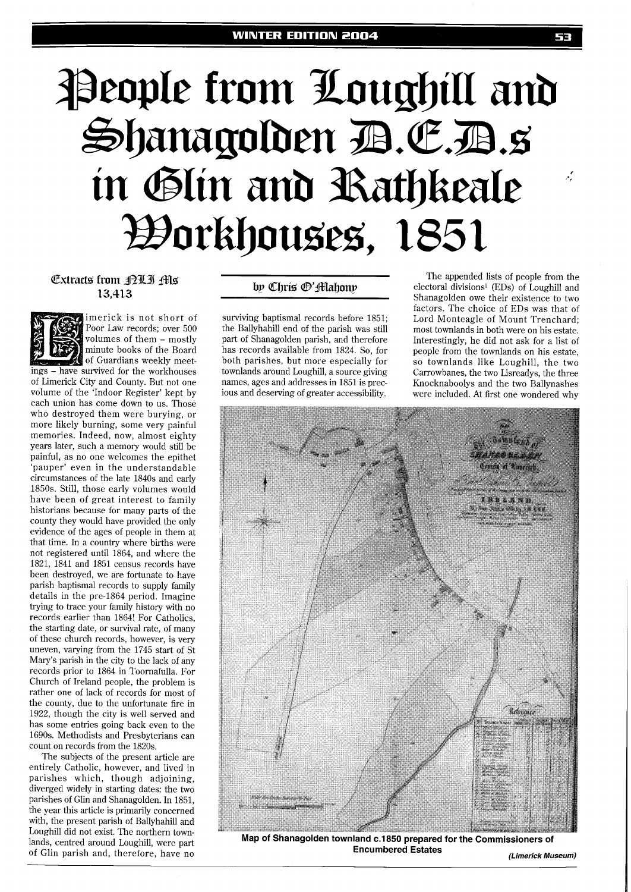# People from Loughill and Shanagolden B.E.B.s in Glin and Rathkeale Workhouses, 1851

imerick is not short of



Poor Law records; over 500 volumes of them - mostly minute books of the Board of Guardians weekly meetings - have survived for the workhouses of Limerick City and County. But not one volume of the 'Indoor Register' kept by each union has come down to us. Those who destroyed them were burying, or more likely burning, some very painful memories. Indeed, now, almost eighty years later, such a memory would still be painful, as no one welcomes the epithet 'pauper' even in the understandable circumstances of the late 1840s and early 1850s. Still, those early volumes would have been of great interest to family historians because for many parts of the county they would have provided the only evidence of the ages of people in them at that time. In a country where births were not registered until 1864, and where the 1821, 1841 and 1851 census records have been destroyed, we are fortunate to have parish baptismal records to supply family details in the pre-1864 period. Imagine trying to trace your family history with no records earlier than 1864! For Catholics, the starting date, or survival rate, of many of these church records, however, is very uneven, varying from the 1745 start of St Mary's parish in the city to the lack of any records prior to 1864 in Toornafulla. For Church of Ireland people, the problem is rather one of lack of records for most of the county, due to the unfortunate fire in 1922, though the city is well served and has some entries going back even to the 1690s. Methodists and Presbyterians can count on records from the 1820s.

The subjects of the present article are entirely Catholic, however, and lived in parishes which, though adjoining, diverged widely in starting dates: the two parishes of Glin and Shanagolden. In 1851, the year this article is primarily concerned with, the present parish of Ballyhahill and Loughill did not exist. The northern townlands, centred around Loughill, were part of Glin parish and, therefore, have no

surviving baptismal records before 1851; the Ballyhahill end of the parish was still part of Shanagolden parish, and therefore has records available from 1824. So, for both parishes, but more especially for townlands around Loughill, a source giving names, ages and addresses in 1851 is precious and deserving of greater accessibility.

**Extracts from <b>DUI** His **The appended lists of people from the** The appended lists of people from the electoral divisions<sup>1</sup> (EDs) of Loughill and **13,413 14.3 14.5 14.6 13,413 14.6 15.413 14.413 14.413 14.413 14.413 14.413 14.413 14.413 14.413 14.413 14.413 14.413 14.413 14.413 14.413 14.413 14.413 14.413 14.413 14.4** factors. The choice of EDs was that of Lord Monteagle of Mount Trenchard; most townlands in both were on his estate. Interestingly, he did not ask for a list of people from the townlands on his estate, so townlands like Loughill, the two Carrowbanes, the two Lisreadys, the three Knocknaboolys and the two Ballynashes were included. At first one wondered why



Map of Shanagolden townland c.1850 prepared for the Commissioners of **Encumbered Estates (Limerick Museum)** 

تومر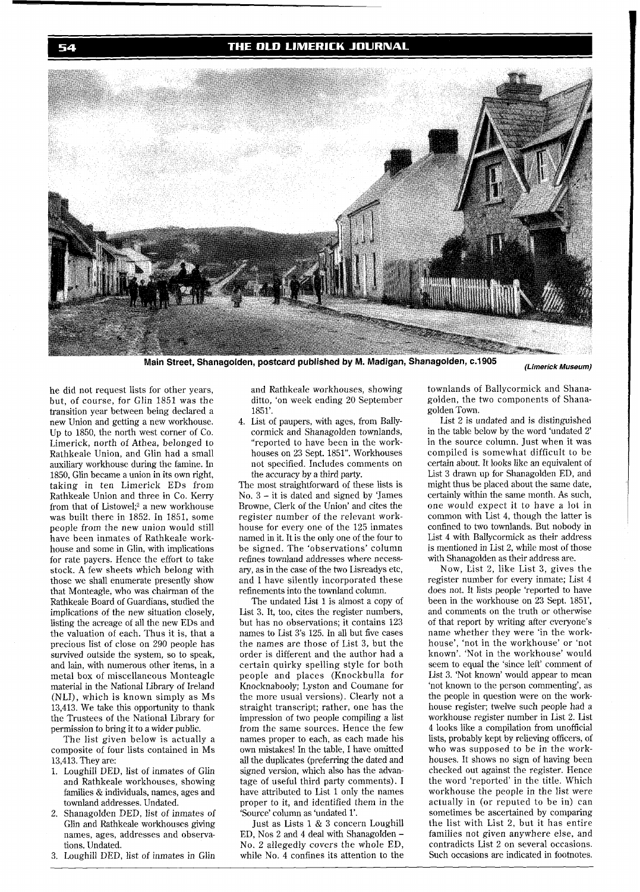### THE OLD LIMERICK JOURNAL



Main Street, Shanagolden, postcard published by M. Madigan, Shanagolden, c.1905

(Limerick Museum)

he did not request lists for other years, but, of course, for Glin 1851 was the transition year between being declared a new Union and getting a new workhouse. Up to 1850, the north west corner of Co. Limerick, north of Athea, belonged to Rathkeale Union, and Glin had a small auxiliary workhouse during the famine. In 1850, Glin became a union in its own right, taking in ten Limerick EDs from Rathkeale Union and three in Co. Kerry from that of Listowel;<sup>2</sup> a new workhouse was built there in 1852. In 1851, some people from the new union would still have been inmates of Rathkeale workhouse and some in Glin, with implications for rate payers. Hence the effort to take stock. A few sheets which belong with those we shall enumerate presently show that Monteagle, who was chairman of the Rathkeale Board of Guardians, studied the implications of the new situation closely, listing the acreage of all the new EDs and the valuation of each. Thus it is, that a precious list of close on 290 people has survived outside the system, so to speak, and lain, with numerous other items, in a metal box of miscellaneous Monteagle material in the National Library of Ireland (NLI), which is known simply as MS 13,413. We take this opportunity to thank the Trustees of the National Library for permission to bring it to a wider public.

The list given below is actually a composite of four lists contained in MS 13,413. They are:

- 1. Loughill DED, list of inmates of Glin and Rathkeale workhouses, showing families & individuals, names, ages and townland addresses. Undated.
- 2. Shanagolden DED, list of inmates of Glin and Rathkeale workhouses giving names, ages, addresses and observations. Undated.
- 3. Loughill DED, list of inmates in Glin

and Rathkeale workhouses, showing ditto, 'on week ending 20 September 1851'.

4. List of paupers, with ages, from Ballycormick and Shanagolden townlands, "reported to have been in the workhouses on 23 Sept. 1851". Workhouses not specified. Includes comments on the accuracy by a third party.

The most straightforward of these lists is No.  $3 - it$  is dated and signed by 'James' Browne, Clerk of the Union' and cites the register number of the relevant workhouse for every one of the 125 inmates named in it. It is the only one of the four to be signed. The 'observations' column refines townland addresses where necessary, as in the case of the two Lisreadys etc, and I have silently incorporated these refinements into the townland column.

The undated List 1 is almost a copy of List **3.** It, too, cites the register numbers, but has no observations; it contains 123 names to List 3's 125. In all but five cases the names are those of List 3, but the order is different and the author had a certain quirky spelling style for both people and places (Knockbulla for Knocknabooly; Lyston and Coumane for the more usual versions). Clearly not a straight transcript; rather, one has the impression of two people compiling a list from the same sources. Hence the few names proper to each, as each made his own mistakes! In the table, I have omitted all the duplicates (preferring the dated and signed version, which also has the advantage of useful third party comments). I have attributed to List 1 only the names proper to it, and identified them in the 'Source' column as 'undated 1'.

Just as Lists 1 & **3** concern Loughill ED, Nos 2 and 4 deal with Shanagolden - No. 2 allegedly covers the whole ED, while No. 4 confines its attention to the townlands of Ballycormick and Shanagolden, the two components of Shanagolden Town.

List 2 is undated and is distinguished in the table below by the word 'undated 2' in the source column. Just when it was compiled is somewhat difficult to be certain about. It looks like an equivalent of List 3 drawn up for Shanagolden ED, and might thus be placed about the same date, certainly within the same month. As such, one would expect it to have a lot in common with List 4, though the latter is confined to two townlands. But nobody in List 4 with Ballycormick as their address is mentioned in List 2, while most of those with Shanagolden as their address are.

Now, List 2, like List 3, gives the register number for every inmate; List 4 does not. It lists people 'reported to have been in the workhouse on 23 Sept. 1851', and comments on the truth or otherwise of that report by writing after everyone's name whether they were 'in the workhouse', 'not in the workhouse' or 'not known'. 'Not in the workhouse' would seem to equal the 'since left' comment of List 3. 'Not known' would appear to mean 'not known to the person commenting', as the people in question were on the workhouse register; twelve such people had a workhouse register number in List 2. List 4 looks like a compilation from unofficial lists, probably kept by relieving officers, of who was supposed to be in the workhouses. It shows no sign of having been checked out against the register. Hence the word 'reported' in the title. Which workhouse the people in the list were actually in (or reputed to be in) can sometimes be ascertained by comparing the list with List 2, but it has entire families not given anywhere else, and contradicts List 2 on several occasions. Such occasions are indicated in footnotes.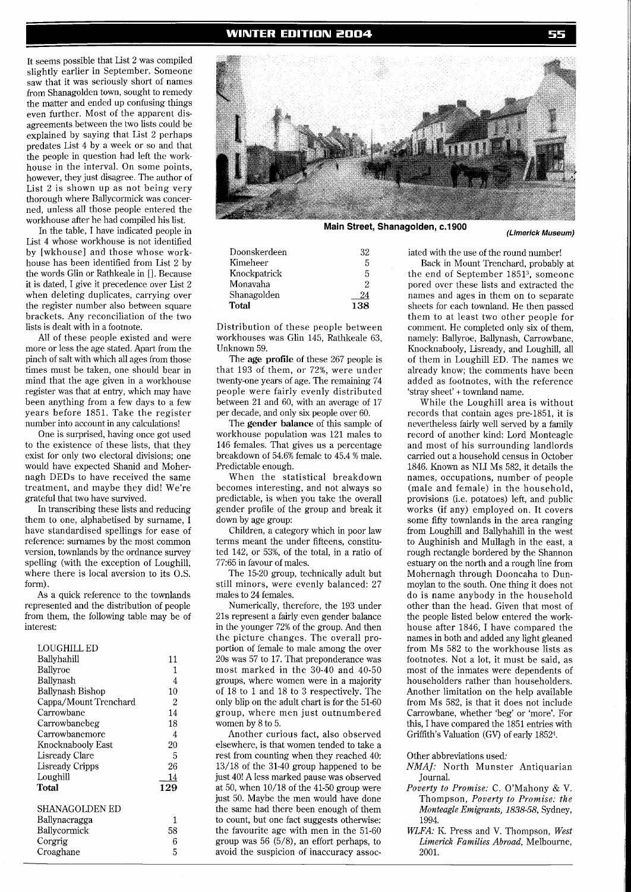#### **WINTER EDITION 2004**

It seems possible that List 2 was compiled slightly earlier in September. Someone saw that it was seriously short of names from Shanagolden town, sought to remedy the matter and ended up confusing things even further. Most of the apparent disagreements between the two lists could be explained by saying that List 2 perhaps predates List 4 by a week or so and that the people in question had left the workhouse in the interval. On some points, however, they just disagree. The author of List 2 is shown up as not being very thorough where Ballycormick was concerned, unless all those people entered the workhouse after he had compiled his list.

In the table, I have indicated people in List 4 whose workhouse is not identified by [wkhouse] and those whose workhouse has been identified from List 2 by the words Glin or Rathkeale in [l. Because it is dated, I give it precedence over List 2 when deleting duplicates, carrying over the register number also between square brackets. Any reconciliation of the two lists is dealt with in a footnote.

All of these people existed and were more or less the age stated. Apart from the pinch of salt with which all ages from those times must be taken, one should bear in mind that the age given in a workhouse register was that at entry, which may have been anything from a few days to a few years before 1851. Take the register number into account in any calculations!

One is surprised, having once got used to the existence of these lists, that they exist for only two electoral divisions; one would have expected Shanid and Mohernagh DEDs to have received the same treatment, and maybe they did! We're grateful that two have survived.

In transcribing these lists and reducing them to one, alphabetised by surname, I have standardised spellings for ease of reference: surnames by the most common version, townlands by the ordnance survey spelling (with the exception of Loughill, where there is local aversion to its O.S. form).

As a quick reference to the townlands represented and the distribution of people from them, the following table may be of interest:

| LOUGHILL ED            |     |
|------------------------|-----|
| Ballyhahill            | 11  |
| Ballyroe               | 1   |
| Ballynash              | 4   |
| Ballynash Bishop       | 10  |
| Cappa/Mount Trenchard  | 2   |
| Carrowbane             | 14  |
| Carrowbanebeg          | 18  |
| Carrowbanemore         | 4   |
| Knocknabooly East      | 20  |
| Lisready Clare         | 5   |
| <b>Lisready Cripps</b> | 26  |
| Loughill               | 14  |
| Total                  | 129 |
| SHANAGOLDEN ED         |     |
| Ballynacragga          | 1   |
| Ballycormick           | 58  |
| Corgrig                | 6   |
| Croaghane              | 5   |
|                        |     |



**Main Street, Shanagolden, c.1900** 

| Doonskerdeen | 32  |
|--------------|-----|
| Kimeheer     | 5   |
| Knockpatrick | 5   |
| Monavaha     | 2   |
| Shanagolden  | 24  |
| Total        | 138 |

Distribution of these people between workhouses was Glin 145, Rathkeale 63, Unknown 59.

The **age profile** of these 267 people is that 193 of them, or 72%, were under twenty-one years of age. The remaining 74 people were fairly evenly distributed between 21 and 60, with an average of 17 per decade, and only six people over 60.

The **gender balance** of this sample of workhouse population was 121 males to 146 females. That gives us a percentage breakdown of 54.6% female to 45.4 % male. Predictable enough.

When the statistical breakdown becomes interesting, and not always so predictable, is when you take the overall gender profile of the group and break it down by age group:

Children, a category which in poor law terms meant the under fifteens, constituted 142, or 53%, of the total, in a ratio of 77:65 in favour of males.

The 15-20 group, technically adult but still minors, were evenly balanced: 27 males to 24 females.

Numerically, therefore, the 193 under 21s represent a fairly even gender balance in the younger 72% of the group. And then the picture changes. The overall proportion of female to male among the over 20s was 57 to 17. That preponderance was most marked in the 30-40 and 40-50 groups, where women were in a majority of 18 to 1 and 18 to 3 respectively. The only blip on the adult chart is for the 51-60 group, where men just outnumbered women by 8 to 5.

Another curious fact, also observed elsewhere, is that women tended to take a rest from counting when they reached 40: 13/18 of the 31-40 group happened to be just 40! A less marked pause was observed at 50, when 10/18 of the 41-50 group were just 50. Maybe the men would have done the same had there been enough of them to count, but one fact suggests otherwise: the favourite age with men in the 51-60 group was 56 (5/8), an effort perhaps, to avoid the suspicion of inaccuracy assoc-

iated with the use of the round number! Back in Mount Trenchard, probably at the end of September 18513, someone pored over these lists and extracted the names and ages in them on to separate sheets for each townland. He then passed them to at least two other people for comment. He completed only six of them, namely: Ballyroe, Ballynash, Carrowbane, Knocknabooly, Lisready, and Loughill, all of them in Loughill ED. The names we already know; the comments have been added as footnotes, with the reference 'stray sheet' + townland name.

While the Loughill area is without records that contain ages pre-1851, it is nevertheless fairly well served by a family record of another kind: Lord Monteagle and most of his surrounding landlords carried out a household census in October 1846. Known as NLI MS 582, it details the names, occupations, number of people (male and female) in the household, provisions (i.e. potatoes) left, and public works (if any) employed on. It covers some fifty townlands in the area ranging from Loughill and Ballyhahill in the west to Aughinish and Mullagh in the east, a rough rectangle bordered by the Shannon estuary on the north and a rough line from Mohernagh through Dooncaha to Dunmoylan to the south. One thing it does not do is name anybody in the household other than the head. Given that most of the people listed below entered the workhouse after 1846, I have compared the names in both and added any light gleaned from MS 582 to the workhouse lists as footnotes. Not a lot, it must be said, as most of the inmates were dependents of householders rather than householders. Another limitation on the help available from MS 582, is that it does not include Carrowbane, whether 'beg' or 'more'. For this, I have compared the 1851 entries with Griffith's Valuation (GV) of early 18524.

Other abbreviations used:

- *NMAJ:* North Munster Antiquarian Journal.
- *Poverty to Promise:* C. O'Mahony & V. Thompson, *Poverty to Promise: the Monteagle Emigrants, 1838-58, Sydney,* 1994.
- *WLFA: K.* Press and V. Thompson, *West Limerick Families Abroad,* Melbourne, 2001.

**(Limerick Museum)**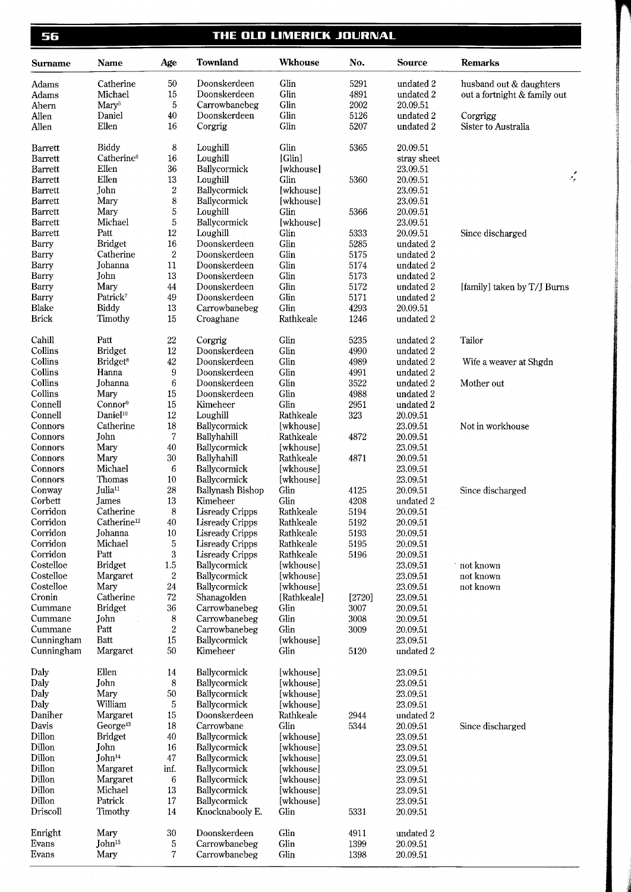56

# THE OLD LIMERICK JOURNAL

| Surname              | Name                                   | Age              | <b>Townland</b>                    | <b>Wkhouse</b>         | No.          | Source                 | <b>Remarks</b>               |
|----------------------|----------------------------------------|------------------|------------------------------------|------------------------|--------------|------------------------|------------------------------|
| Adams                | Catherine                              | 50               | Doonskerdeen                       | Glin                   | 5291         | undated 2              | husband out & daughters      |
| Adams                | Michael                                | 15               | Doonskerdeen                       | Glin                   | 4891         | undated 2              | out a fortnight & family out |
| Ahern                | Mary <sup>5</sup>                      | 5                | Carrowbanebeg                      | Glin                   | 2002         | 20.09.51               |                              |
| Allen                | Daniel                                 | 40               | Doonskerdeen                       | Glin                   | 5126         | undated 2              | Corgrigg                     |
| Allen                | Ellen                                  | 16               | Corgrig                            | Glin                   | 5207         | undated 2              | Sister to Australia          |
| Barrett              | Biddy                                  | 8                | Loughill                           | Glin                   | 5365         | 20.09.51               |                              |
| <b>Barrett</b>       | Catherine <sup>6</sup>                 | 16               | Loughill                           | [Glin]                 |              | stray sheet            |                              |
| <b>Barrett</b>       | Ellen                                  | 36               | Ballycormick                       | [wkhouse]              |              | 23.09.51               | ٠,                           |
| Barrett<br>Barrett   | Ellen<br>John                          | 13<br>$\,2$      | Loughill<br>Ballycormick           | Glin<br>[wkhouse]      | 5360         | 20.09.51<br>23.09.51   |                              |
| Barrett              | Mary                                   | 8                | Ballycormick                       | [wkhouse]              |              | 23.09.51               |                              |
| Barrett              | Mary                                   | 5                | Loughill                           | Glin                   | 5366         | 20.09.51               |                              |
| Barrett              | Michael                                | 5                | Ballycormick                       | [wkhouse]              |              | 23.09.51               |                              |
| <b>Barrett</b>       | Patt                                   | $12\,$           | Loughill                           | Glin                   | 5333         | 20.09.51               | Since discharged             |
| Barry                | <b>Bridget</b>                         | 16               | Doonskerdeen                       | Glin                   | 5285         | undated 2              |                              |
| Barry                | Catherine                              | $\boldsymbol{2}$ | Doonskerdeen                       | Glin                   | 5175         | undated 2              |                              |
| Barry                | Johanna                                | 11               | Doonskerdeen                       | Glin                   | 5174         | undated 2              |                              |
| Barry                | John                                   | $13\,$           | Doonskerdeen                       | Glin                   | 5173         | undated 2              |                              |
| Barry                | Mary                                   | $44\,$           | Doonskerdeen                       | Glin                   | 5172         | undated 2              | [family] taken by T/J Burns  |
| Barry                | Patrick <sup>7</sup>                   | 49               | Doonskerdeen                       | Glin                   | 5171         | undated 2              |                              |
| Blake                | Biddy                                  | $13\,$           | Carrowbanebeg                      | Glin                   | 4293         | 20.09.51               |                              |
| <b>Brick</b>         | Timothy                                | 15               | Croaghane                          | Rathkeale              | 1246         | undated 2              |                              |
| Cahill               | Patt                                   | $22\,$           | Corgrig                            | Glin                   | 5235         | undated 2              | Tailor                       |
| Collins              | <b>Bridget</b>                         | 12               | Doonskerdeen                       | Glin                   | 4990         | undated 2              |                              |
| Collins              | Bridget <sup>8</sup>                   | 42               | Doonskerdeen                       | Glin                   | 4989         | undated 2              | Wife a weaver at Shgdn       |
| Collins<br>Collins   | Hanna                                  | 9                | Doonskerdeen                       | Glin<br>Glin           | 4991         | undated 2              |                              |
| Collins              | Johanna<br>Mary                        | 6<br>15          | Doonskerdeen<br>Doonskerdeen       | Glin                   | 3522<br>4988 | undated 2<br>undated 2 | Mother out                   |
| Connell              | Connor <sup>9</sup>                    | 15               | Kimeheer                           | Glin                   | 2951         | undated 2              |                              |
| Connell              | Daniel <sup>10</sup>                   | 12               | Loughill                           | Rathkeale              | 323          | 20.09.51               |                              |
| Connors              | Catherine                              | 18               | Ballycormick                       | [wkhouse]              |              | 23.09.51               | Not in workhouse             |
| Connors              | John                                   | $\boldsymbol{7}$ | Ballyhahill                        | Rathkeale              | 4872         | 20.09.51               |                              |
| Connors              | Mary                                   | 40               | Ballycormick                       | [wkhouse]              |              | 23.09.51               |                              |
| Connors              | Mary                                   | $30\,$           | Ballyhahill                        | Rathkeale              | 4871         | 20.09.51               |                              |
| Connors              | Michael                                | 6                | Ballycormick                       | [wkhouse]              |              | 23.09.51               |                              |
| Connors              | Thomas                                 | 10               | Ballycormick                       | [wkhouse]              |              | 23.09.51               |                              |
| Conway               | Julia <sup>11</sup>                    | $\sqrt{28}$      | Ballynash Bishop                   | Glin                   | 4125         | 20.09.51               | Since discharged             |
| Corbett              | James                                  | 13               | Kimeheer                           | Glin                   | 4208         | undated 2              |                              |
| Corridon             | Catherine                              | 8                | <b>Lisready Cripps</b>             | Rathkeale              | 5194         | 20.09.51               |                              |
| Corridon<br>Corridon | Catherine <sup>12</sup><br>Johanna     | $40\,$<br>10     | <b>Lisready Cripps</b>             | Rathkeale<br>Rathkeale | 5192<br>5193 | 20.09.51               |                              |
| Corridon             | Michael                                | 5                | Lisready Cripps<br>Lisready Cripps | Rathkeale              | 5195         | 20.09.51<br>20.09.51   |                              |
| Corridon             | Patt                                   | $\bf 3$          | <b>Lisready Cripps</b>             | Rathkeale              | 5196         | 20.09.51               |                              |
| Costelloe            | <b>Bridget</b>                         | $1.5\,$          | Ballycormick                       | [wkhouse]              |              | 23.09.51               | not known                    |
| Costelloe            | Margaret                               | $\boldsymbol{2}$ | Ballycormick                       | [wkhouse]              |              | 23.09.51               | not known                    |
| Costelloe            | Mary                                   | 24               | Ballycormick                       | [wkhouse]              |              | 23.09.51               | not known                    |
| Cronin               | Catherine                              | $\sqrt{72}$      | Shanagolden                        | [Rathkeale]            | [2720]       | 23.09.51               |                              |
| Cummane              | <b>Bridget</b>                         | 36               | Carrowbanebeg                      | Glin                   | 3007         | 20.09.51               |                              |
| Cummane              | John                                   | 8                | Carrowbanebeg                      | Glin                   | 3008         | 20.09.51               |                              |
| Cummane              | Patt                                   | $\rm{2}$         | Carrowbanebeg                      | Glin                   | 3009         | 20.09.51               |                              |
| Cunningham           | Batt                                   | 15               | Ballycormick                       | [wkhouse]              |              | 23.09.51               |                              |
| Cunningham           | Margaret                               | 50               | Kimeheer                           | Glin                   | 5120         | undated 2              |                              |
| Daly                 | Ellen                                  | 14               | Ballycormick                       | [wkhouse]              |              | 23.09.51               |                              |
| Daly                 | John                                   | 8                | Ballycormick                       | [wkhouse]              |              | 23.09.51               |                              |
| Daly                 | Mary                                   | 50               | Ballycormick                       | [wkhouse]              |              | 23.09.51               |                              |
| Daly                 | William                                | 5                | Ballycormick                       | [wkhouse]              |              | 23.09.51               |                              |
| Daniher              | Margaret                               | 15               | Doonskerdeen                       | Rathkeale              | 2944         | undated 2              |                              |
| Davis<br>Dillon      | George <sup>13</sup><br><b>Bridget</b> | 18<br>40         | Carrowbane<br>Ballycormick         | Glin<br>[wkhouse]      | 5344         | 20.09.51<br>23.09.51   | Since discharged             |
| Dillon               | John                                   | 16               | Ballycormick                       | [wkhouse]              |              | 23.09.51               |                              |
| Dillon               | John <sup>14</sup>                     | 47               | Ballycormick                       | [wkhouse]              |              | 23.09.51               |                              |
| Dillon               | Margaret                               | inf.             | Ballycormick                       | [wkhouse]              |              | 23.09.51               |                              |
| Dillon               | Margaret                               | 6                | Ballycormick                       | [wkhouse]              |              | 23.09.51               |                              |
| Dillon               | Michael                                | 13               | Ballycormick                       | [wkhouse]              |              | 23.09.51               |                              |
| Dillon               | Patrick                                | 17               | Ballycormick                       | [wkhouse]              |              | 23.09.51               |                              |
| Driscoll             | Timothy                                | 14               | Knocknabooly E.                    | Glin                   | 5331         | 20.09.51               |                              |
| Enright              | Mary                                   | 30               | Doonskerdeen                       | Glin                   | 4911         | undated 2              |                              |
| Evans                | John <sup>15</sup>                     | 5                | Carrowbanebeg                      | Glin                   | 1399         | 20.09.51               |                              |
| Evans                | Mary                                   | 7                | Carrowbanebeg                      | Glin                   | 1398         | 20.09.51               |                              |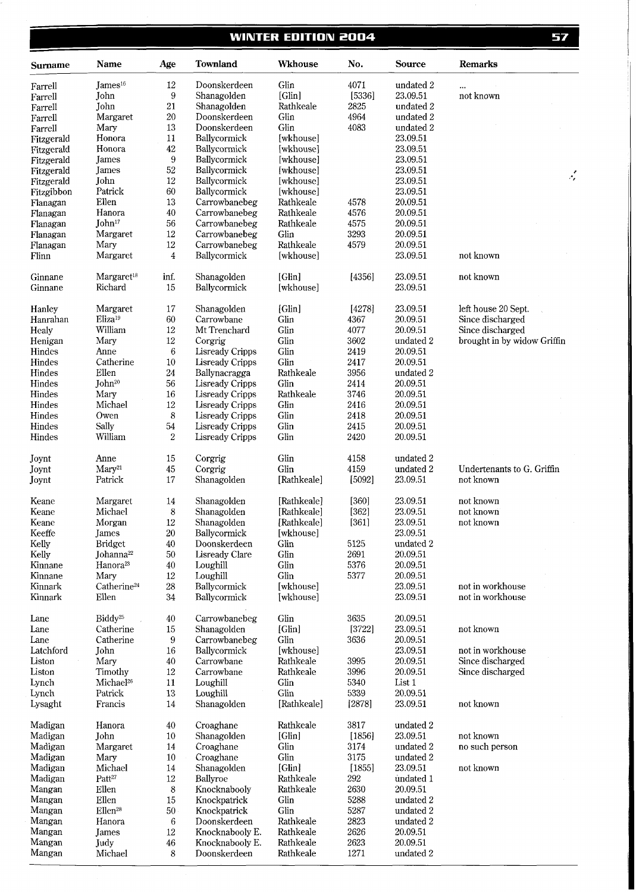# **WINTER EDITION 2004**

| Surname            | Name                              | Age              | <b>Townland</b>             | <b>Wkhouse</b>      | No.     | Source               | <b>Remarks</b>              |
|--------------------|-----------------------------------|------------------|-----------------------------|---------------------|---------|----------------------|-----------------------------|
| Farrell            | Iames <sup>16</sup>               | 12               | Doonskerdeen                | Glin                | 4071    | undated 2            | $\ddotsc$                   |
| Farrell            | John                              | 9                | Shanagolden                 | [Glin]              | [5336]  | 23.09.51             | not known                   |
| Farrell            | John                              | 21               | Shanagolden                 | Rathkeale           | 2825    | undated 2            |                             |
| Farrell            | Margaret                          | $20\,$           | Doonskerdeen                | Glin                | 4964    | undated 2            |                             |
| Farrell            | Mary                              | 13               | Doonskerdeen                | Glin                | 4083    | undated 2            |                             |
| Fitzgerald         | Honora                            | $11\,$           | Ballycormick                | [wkhouse]           |         | 23.09.51             |                             |
| Fitzgerald         | Honora                            | $42\,$           | Ballycormick                | [wkhouse]           |         | 23.09.51             |                             |
| Fitzgerald         | James                             | $9\,$            | Ballycormick                | [wkhouse]           |         | 23.09.51             |                             |
| Fitzgerald         | <b>James</b>                      | $52\,$           | Ballycormick                | [wkhouse]           |         | 23.09.51             |                             |
| Fitzgerald         | John                              | $12\,$           | Ballycormick                | [wkhouse]           |         | 23.09.51             | $\mathcal{L}$               |
| Fitzgibbon         | Patrick                           | 60               | Ballycormick                | [wkhouse]           |         | 23.09.51             |                             |
| Flanagan           | Ellen                             | 13               | Carrowbanebeg               | Rathkeale           | 4578    | 20.09.51             |                             |
| Flanagan           | Hanora                            | 40               | Carrowbanebeg               | Rathkeale           | 4576    | 20.09.51             |                             |
| Flanagan           | John <sup>17</sup>                | 56               | Carrowbanebeg               | Rathkeale           | 4575    | 20.09.51             |                             |
| Flanagan           | Margaret                          | $12\,$           | Carrowbanebeg               | Glin                | 3293    | 20.09.51             |                             |
| Flanagan           | Mary                              | $12\,$           | Carrowbanebeg               | Rathkeale           | 4579    | 20.09.51             |                             |
| Flinn              | Margaret                          | $\overline{4}$   | Ballycormick                | [wkhouse]           |         | 23.09.51             | not known                   |
| Ginnane<br>Ginnane | Margaret <sup>18</sup><br>Richard | inf.<br>15       | Shanagolden<br>Ballycormick | [Glin]<br>[wkhouse] | [4356]  | 23.09.51<br>23.09.51 | not known                   |
|                    |                                   |                  |                             |                     |         |                      |                             |
| Hanley             | Margaret                          | $17\,$           | Shanagolden                 | [Glin]              | [4278]  | 23.09.51             | left house 20 Sept.         |
| Hanrahan           | Eliza <sup>19</sup>               | 60               | Carrowbane                  | Glin                | 4367    | 20.09.51             | Since discharged            |
| Healy              | William                           | 12               | Mt Trenchard                | Glin                | 4077    | 20.09.51             | Since discharged            |
| Henigan            | Mary                              | $12\,$           | Corgrig                     | Glin                | 3602    | undated 2            | brought in by widow Griffin |
| Hindes             | Anne                              | 6                | <b>Lisready Cripps</b>      | Glin                | 2419    | 20.09.51             |                             |
| Hindes             | Catherine                         | $10\,$           | Lisready Cripps             | Glin                | 2417    | 20.09.51             |                             |
| Hindes             | Ellen                             | 24               | Ballynacragga               | Rathkeale           | 3956    | undated 2            |                             |
| Hindes             | John <sup>20</sup>                | 56               | <b>Lisready Cripps</b>      | Glin                | 2414    | 20.09.51             |                             |
| Hindes             | Mary                              | 16               | <b>Lisready Cripps</b>      | Rathkeale           | 3746    | 20.09.51             |                             |
| Hindes             | Michael                           | $12\,$           | <b>Lisready Cripps</b>      | Glin                | 2416    | 20.09.51             |                             |
| Hindes             | Owen                              | $\,8\,$          | <b>Lisready Cripps</b>      | Glin                | 2418    | 20.09.51             |                             |
| Hindes             | Sally                             | 54               | Lisready Cripps             | Glin                | 2415    | 20.09.51             |                             |
| Hindes             | William                           | $\overline{2}$   | <b>Lisready Cripps</b>      | Glin                | 2420    | 20.09.51             |                             |
| Joynt              | Anne                              | 15               | Corgrig                     | Glin                | 4158    | undated 2            |                             |
| Joynt              | Mary <sup>21</sup>                | 45               | Corgrig                     | Glin                | 4159    | undated 2            | Undertenants to G. Griffin  |
| Joynt              | Patrick                           | 17               | Shanagolden                 | [Rathkeale]         | [5092]  | 23.09.51             | not known                   |
| Keane              | Margaret                          | 14               | Shanagolden                 | [Rathkeale]         | [360]   | 23.09.51             | not known                   |
| Keane              | Michael                           | $\boldsymbol{8}$ | Shanagolden                 | [Rathkeale]         | $[362]$ | 23.09.51             | not known                   |
| Keane              | Morgan                            | $12\,$           | Shanagolden                 | [Rathkeale]         | $[361]$ | 23.09.51             | not known                   |
| Keeffe             | James                             | $20\,$           | Ballycormick                | [wkhouse]           |         | 23.09.51             |                             |
| Kelly              | <b>Bridget</b>                    | 40               | Doonskerdeen                | Glin                | 5125    | undated 2            |                             |
| Kelly              | Johanna <sup>22</sup>             | 50               | Lisready Clare              | Glin                | 2691    | 20.09.51             |                             |
| Kinnane            | Hanora <sup>23</sup>              | 40               | Loughill                    | Glin                | 5376    | 20.09.51             |                             |
| Kinnane            | Mary                              | $12\,$           | Loughill                    | Glin                | 5377    | 20.09.51             |                             |
| Kinnark            | Catherine <sup>24</sup>           | $28\,$           | Ballycormick                | [wkhouse]           |         | 23.09.51             | not in workhouse            |
| Kinnark            | Ellen                             | 34               | Ballycormick                | [wkhouse]           |         | 23.09.51             | not in workhouse            |
| Lane               | Biddy <sup>25</sup>               | 40               | Carrowbanebeg               | Glin                | 3635    | 20.09.51             |                             |
| Lane               | Catherine                         | $15\,$           | Shanagolden                 | [Glin]              | [3722]  | 23.09.51             | not known                   |
| Lane               | Catherine                         | 9                | Carrowbanebeg               | Glin                | 3636    | 20.09.51             |                             |
| Latchford          | John                              | $16\,$           | Ballycormick                | [wkhouse]           |         | 23.09.51             | not in workhouse            |
| Liston             | Mary                              | 40               | Carrowbane                  | Rathkeale           | 3995    | 20.09.51             | Since discharged            |
| Liston             | Timothy                           | $12\,$           | Carrowbane                  | Rathkeale           | 3996    | 20.09.51             | Since discharged            |
| Lynch              | Michael <sup>26</sup>             | 11               | Loughill                    | Glin                | 5340    | List 1               |                             |
| Lynch              | Patrick                           | 13               | Loughill                    | Glin                | 5339    | 20.09.51             |                             |
| Lysaght            | Francis                           | 14               | Shanagolden                 | [Rathkeale]         | [2878]  | 23.09.51             | not known                   |
| Madigan            | Hanora                            | 40               | Croaghane                   | Rathkeale           | 3817    | undated 2            |                             |

Madigan Madigan Madigan Madigan Madigan Mangan Mangan Mangan Mangan Mangan Mangan

John Margaret Mary Michael  $\mathbf{Patt}^{27}$ Ellen Ellen  $Ellen<sup>28</sup>$ Hanora James Judy Michael

Shanagolden Croaghane Croaghane Shanagolden Ballyroe Knocknabooly Knockpatrick Knockpatrick Doonskerdeen Knocknabooly E. Knocknabooly E. Doonskerdeen

[Glin] Glin Glin [Glin] Rathkeale Rathkeale Glin Glin Rathkeale Rathkeale Rathkeale Rathkeale

23.09.51 undated 2 undated 2 23.09.51 undated l 20.09.51 undated 2 undated 2 undated 2 20.09.51 20.09.51 undated 2

not known no such person

not known

Mangan

57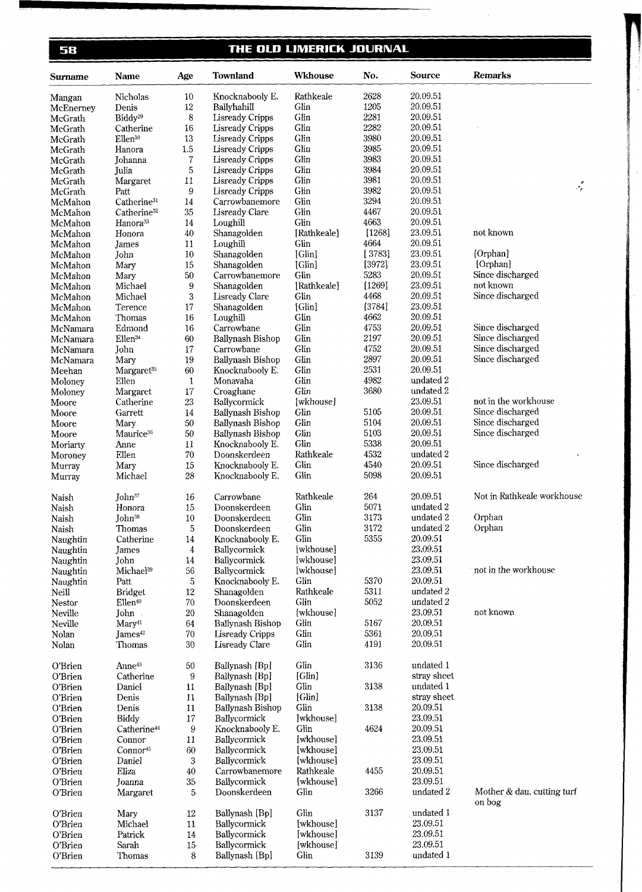58

# THE OLD LIMERICK JOURNAL

| <b>Surname</b> | Name                    | Age          | Townland               | <b>Wkhouse</b> | No.    | Source      | <b>Remarks</b>                            |
|----------------|-------------------------|--------------|------------------------|----------------|--------|-------------|-------------------------------------------|
| Mangan         | Nicholas                | 10           | Knocknabooly E.        | Rathkeale      | 2628   | 20,09.51    |                                           |
| McEnerney      | Denis                   | $12\,$       | Ballyhahill            | Glin           | 1205   | 20.09.51    |                                           |
| McGrath        | Biddy <sup>29</sup>     | 8            | <b>Lisready Cripps</b> | Glin           | 2281   | 20.09.51    |                                           |
| McGrath        | Catherine               | 16           | <b>Lisready Cripps</b> | Glin           | 2282   | 20.09.51    |                                           |
| McGrath        | Ellen <sup>30</sup>     | 13           | <b>Lisready Cripps</b> | Glin           | 3980   | 20.09.51    |                                           |
| McGrath        | Hanora                  | 1.5          | Lisready Cripps        | Glin           | 3985   | 20.09.51    |                                           |
| McGrath        | Johanna                 | 7            | Lisready Cripps        | Glin           | 3983   | 20.09.51    |                                           |
| McGrath        | Julia                   | 5            | <b>Lisready Cripps</b> | Glin           | 3984   | 20.09.51    |                                           |
| McGrath        | Margaret                | 11           | <b>Lisready Cripps</b> | Glin           | 3981   | 20.09.51    |                                           |
| McGrath        | Patt                    | 9            | Lisready Cripps        | Glin           | 3982   | 20.09.51    | $\mathcal{L}^{\mathcal{E}}_{\mathcal{E}}$ |
| McMahon        | Catherine <sup>31</sup> | 14           | Carrowbanemore         | Glin           | 3294   | 20.09.51    |                                           |
| McMahon        | Catherine <sup>32</sup> | 35           | Lisready Clare         | Glin           | 4467   | 20.09.51    |                                           |
| McMahon        | Hanora <sup>33</sup>    | 14           | Loughill               | Glin           | 4663   | 20.09.51    |                                           |
| McMahon        | Honora                  | 40           | Shanagolden            | [Rathkeale]    | [1268] | 23.09.51    | not known                                 |
| McMahon        | James                   | 11           | Loughill               | Glin           | 4664   | 20.09.51    |                                           |
| McMahon        | John                    | $10\,$       | Shanagolden            | [Glin]         | [3783] | 23.09.51    | [Orphan]                                  |
| McMahon        | Mary                    | 15           | Shanagolden            | [Glin]         | [3972] | 23.09.51    | [Orphan]                                  |
| McMahon        | Mary                    | 50           | Carrowbanemore         | Glin           | 5283   | 20.09.51    | Since discharged                          |
| McMahon        | Michael                 | 9            | Shanagolden            | [Rathkeale]    | [1269] | 23.09.51    | not known                                 |
| McMahon        | Michael                 | 3            | <b>Lisready Clare</b>  | Glin           | 4468   | 20.09.51    | Since discharged                          |
| McMahon        | Terence                 | 17           | Shanagolden            | [Glin]         | [3784] | 23.09.51    |                                           |
| McMahon        | Thomas                  | 16           | Loughill               | Glin           | 4662   | 20.09.51    |                                           |
| McNamara       | Edmond                  | 16           | Carrowbane             | Glin           | 4753   | 20.09.51    | Since discharged                          |
| McNamara       | Ellen <sup>34</sup>     | 60           | Ballynash Bishop       | Glin           | 2197   | 20.09.51    | Since discharged                          |
| McNamara       | John                    | 17           | Carrowbane             | Glin           | 4752   | 20.09.51    | Since discharged                          |
| McNamara       | Mary                    | 19           | Ballynash Bishop       | Glin           | 2897   | 20.09.51    | Since discharged                          |
| Meehan         | Margaret <sup>35</sup>  | 60           | Knocknabooly E.        | Glin           | 2531   | 20.09.51    |                                           |
| Moloney        | Ellen                   | $\mathbf{1}$ | Monavaha               | Glin           | 4982   | undated 2   |                                           |
| Moloney        | Margaret                | $17\,$       | Croaghane              | Glin           | 3680   | undated 2   |                                           |
| Moore          | Catherine               | $23\,$       | Ballycormick           | [wkhouse]      |        | 23.09.51    | not in the workhouse                      |
| Moore          | Garrett                 | $14\,$       | Ballynash Bishop       | Glin           | 5105   | 20.09.51    | Since discharged                          |
| Moore          | Mary                    | $50\,$       | Ballynash Bishop       | Glin           | 5104   | 20.09.51    | Since discharged                          |
| Moore          | Maurice <sup>36</sup>   | $50\,$       | Ballynash Bishop       | Glin           | 5103   | 20.09.51    | Since discharged                          |
| Moriarty       | Anne                    | $11\,$       | Knocknabooly E.        | Glin           | 5338   | 20.09.51    |                                           |
| Moroney        | Ellen                   | 70           | Doonskerdeen           | Rathkeale      | 4532   | undated 2   |                                           |
| Murray         | Mary                    | 15           | Knocknabooly E.        | Glin           | 4540   | 20.09.51    | Since discharged                          |
| Murray         | Michael                 | 28           | Knocknabooly E.        | Glin           | 5098   | 20.09.51    |                                           |
| Naish          | John <sup>37</sup>      | 16           | Carrowbane             | Rathkeale      | 264    | 20.09.51    | Not in Rathkeale workhouse                |
| Naish          | Honora                  | 15           | Doonskerdeen           | Glin           | 5071   | undated 2   |                                           |
| Naish          | John <sup>38</sup>      | 10           | Doonskerdeen           | Glin           | 3173   | undated 2   | Orphan                                    |
| Naish          | Thomas                  | 5            | Doonskerdeen           | Glin           | 3172   | undated 2   | Orphan                                    |
| Naughtin       | Catherine               | 14           | Knocknabooly E.        | Glin           | 5355   | 20.09.51    |                                           |
| Naughtin       | James                   | 4            | Ballycormick           | [wkhouse]      |        | 23.09.51    |                                           |
| Naughtin       | John                    | 14           | Ballycormick           | [wkhouse]      |        | 23.09.51    |                                           |
| Naughtin       | Michael <sup>39</sup>   | 56           | Ballycormick           | [wkhouse]      |        | 23.09.51    | not in the workhouse                      |
| Naughtin       | Patt                    | $\mathbf 5$  | Knocknabooly E.        | Glin           | 5370   | 20.09.51    |                                           |
| Neill          | <b>Bridget</b>          | 12           | Shanagolden            | Rathkeale      | 5311   | undated 2   |                                           |
| Nestor         | Ellen <sup>40</sup>     | $70\,$       | Doonskerdeen           | Glin           | 5052   | undated 2   |                                           |
| Neville        | John.                   | $20\,$       | Shanagolden            | [wkhouse]      |        | 23.09.51    | not known                                 |
| Neville        | Marv <sup>41</sup>      | 64           | Ballynash Bishop       | Glin           | 5167   | 20.09.51    |                                           |
| Nolan          | James <sup>42</sup>     | 70           | <b>Lisready Cripps</b> | Glin           | 5361   | 20.09.51    |                                           |
| Nolan          | Thomas                  | 30           | Lisready Clare         | Glin           | 4191   | 20.09.51    |                                           |
| O'Brien        | Anne <sup>43</sup>      | 50           | Ballynash [Bp]         | Glin           | 3136   | undated 1   |                                           |
| O'Brien        | Catherine               | 9            | Ballynash [Bp]         | [Glin]         |        | stray sheet |                                           |
| O'Brien        | Daniel                  | 11           | Ballynash [Bp]         | Glin           | 3138   | undated 1   |                                           |
| O'Brien        | Denis                   | 11           | Ballynash [Bp]         | [Glin]         |        | stray sheet |                                           |
| O'Brien        | Denis                   | 11           | Ballynash Bishop       | Glin           | 3138   | 20.09.51    |                                           |
| O'Brien        | Biddy                   | 17           | Ballycormick           | [wkhouse]      |        | 23.09.51    |                                           |
| O'Brien        | Catherine <sup>44</sup> | 9            | Knocknabooly E.        | Glin           | 4624   | 20.09.51    |                                           |
| O'Brien        | Connor                  | 11           | Ballycormick           | [wkhouse]      |        | 23.09.51    |                                           |
| O'Brien        | Connor <sup>45</sup>    | 60           | Ballycormick           | [wkhouse]      |        | 23.09.51    |                                           |
| O'Brien        | Daniel                  | 3            | Ballycormick           | [wkhouse]      |        | 23.09.51    |                                           |
| O'Brien        | Eliza                   | $40\,$       | Carrowbanemore         | Rathkeale      | 4455   | 20.09.51    |                                           |
| O'Brien        | Joanna                  | 35           | Ballycormick           | [wkhouse]      |        | 23.09.51    |                                           |
| O'Brien        | Margaret                | 5            | Doonskerdeen           | Glin           | 3266   | undated 2   | Mother & dau. cutting turf<br>on bog      |
| O'Brien        | Mary                    | $12\,$       | Ballynash [Bp]         | Glin           | 3137   | undated 1   |                                           |
| O'Brien        | Michael                 | $11\,$       | Ballycormick           | [wkhouse]      |        | 23.09.51    |                                           |
| O'Brien        | Patrick                 | 14           | Ballycormick           | [wkhouse]      |        | 23.09.51    |                                           |
| O'Brien        | Sarah                   | 15           | Ballycormick           | [wkhouse]      |        | 23.09.51    |                                           |
| O'Brien        | Thomas                  | 8            | Ballynash [Bp]         | Glin           | 3139   | undated 1   |                                           |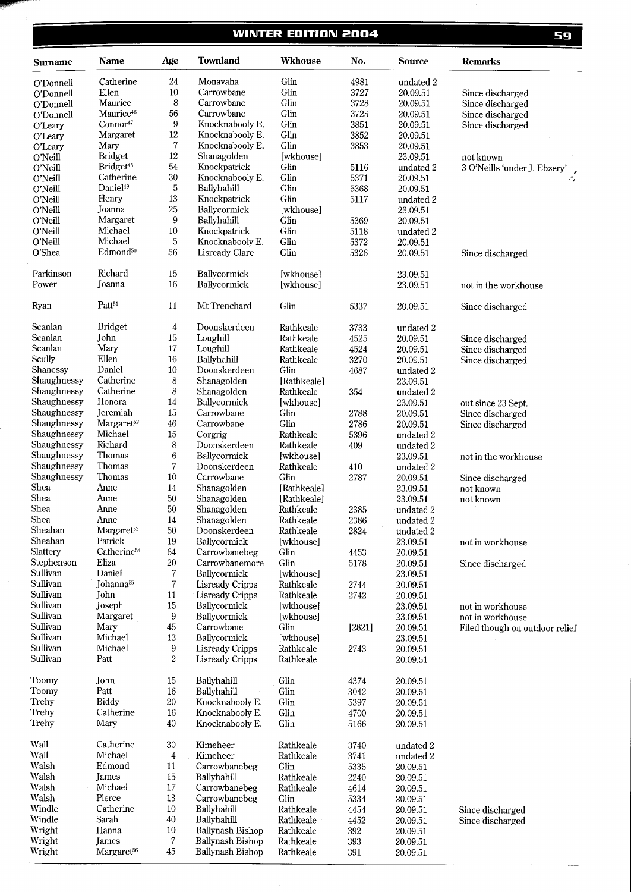## **WINTER EDITION 2004**

| <b>Surname</b> | Name                    | Age                     | <b>Townland</b>        | Wkhouse     | No.    | <b>Source</b> | <b>Remarks</b>                 |
|----------------|-------------------------|-------------------------|------------------------|-------------|--------|---------------|--------------------------------|
| O'Donnell      | Catherine               | 24                      | Monavaha               | Glin        | 4981   | undated 2     |                                |
| O'Donnell      | Ellen                   | 10                      | Carrowbane             | Glin        | 3727   | 20.09.51      | Since discharged               |
| O'Donnell      | Maurice                 | 8                       | Carrowbane             | Glin        | 3728   | 20.09.51      | Since discharged               |
| O'Donnell      | Maurice <sup>46</sup>   | 56                      | Carrowbane             | Glin        | 3725   | 20.09.51      | Since discharged               |
| O'Leary        | Connor <sup>47</sup>    | 9                       | Knocknabooly E.        | Glin        | 3851   | 20.09.51      | Since discharged               |
| O'Leary        | Margaret                | 12                      | Knocknabooly E.        | Glin        | 3852   | 20.09.51      |                                |
| O'Leary        | Mary                    | $\boldsymbol{7}$        | Knocknabooly E.        | Glin        | 3853   | 20.09.51      |                                |
| O'Neill        | <b>Bridget</b>          | $12\,$                  | Shanagolden            | [wkhouse]   |        | 23.09.51      | not known                      |
| O'Neill        | Bridget <sup>48</sup>   | $54\,$                  | Knockpatrick           | Glin        | 5116   | undated 2     | 3 O'Neills 'under J. Ebzery'   |
| O'Neill        | Catherine               | $30\,$                  | Knocknabooly E.        | Glin        | 5371   | 20.09.51      |                                |
| O'Neill        | Daniel <sup>49</sup>    | 5                       | Ballyhahill            | Glin        | 5368   | 20.09.51      |                                |
| O'Neill        | Henry                   | 13                      | Knockpatrick           | Glin        | 5117   | undated 2     |                                |
| O'Neill        | Joanna                  | 25                      | Ballycormick           | [wkhouse]   |        | 23.09.51      |                                |
| O'Neill        | Margaret                | 9                       | Ballyhahill            | Glin        | 5369   | 20.09.51      |                                |
| O'Neill        | Michael                 | 10                      | Knockpatrick           | Glin        | 5118   | undated 2     |                                |
| O'Neill        | Michael                 | 5                       | Knocknabooly E.        | Glin        | 5372   |               |                                |
|                | Edmond <sup>50</sup>    | 56                      |                        |             |        | 20.09.51      |                                |
| O'Shea         |                         |                         | <b>Lisready Clare</b>  | Glin        | 5326   | 20.09.51      | Since discharged               |
| Parkinson      | Richard                 | 15                      | Ballycormick           | [wkhouse]   |        | 23.09.51      |                                |
| Power          | Joanna                  | 16                      | Ballycormick           | [wkhouse]   |        | 23.09.51      | not in the workhouse           |
| Ryan           | Patt <sup>51</sup>      | 11                      | Mt Trenchard           | Glin        | 5337   | 20.09.51      | Since discharged               |
| Scanlan        | <b>Bridget</b>          | 4                       | Doonskerdeen           | Rathkeale   | 3733   | undated 2     |                                |
| Scanlan        | John                    | 15                      | Loughill               | Rathkeale   | 4525   | 20.09.51      | Since discharged               |
| Scanlan        | Mary                    | 17                      | Loughill               | Rathkeale   | 4524   | 20.09.51      | Since discharged               |
| Scully         | Ellen                   | 16                      | Ballyhahill            | Rathkeale   | 3270   | 20.09.51      |                                |
| Shanessy       | Daniel                  | 10                      | Doonskerdeen           | Glin        |        |               | Since discharged               |
|                | Catherine               |                         |                        |             | 4687   | undated 2     |                                |
| Shaughnessy    |                         | 8                       | Shanagolden            | [Rathkeale] |        | 23.09.51      |                                |
| Shaughnessy    | Catherine               | 8                       | Shanagolden            | Rathkeale   | 354    | undated 2     |                                |
| Shaughnessy    | Honora                  | 14                      | Ballycormick           | [wkhouse]   |        | 23.09.51      | out since 23 Sept.             |
| Shaughnessy    | Jeremiah                | 15                      | Carrowbane             | Glin        | 2788   | 20.09.51      | Since discharged               |
| Shaughnessy    | Margaret <sup>52</sup>  | 46                      | Carrowbane             | Glin        | 2786   | 20.09.51      | Since discharged               |
| Shaughnessy    | Michael                 | 15                      | Corgrig                | Rathkeale   | 5396   | undated 2     |                                |
| Shaughnessy    | Richard                 | $\,$ 8 $\,$             | Doonskerdeen           | Rathkeale   | 409    | undated 2     |                                |
| Shaughnessy    | Thomas                  | 6                       | Ballycormick           | [wkhouse]   |        | 23.09.51      | not in the workhouse           |
| Shaughnessy    | Thomas                  | 7                       | Doonskerdeen           | Rathkeale   | 410    | undated 2     |                                |
| Shaughnessy    | Thomas                  | 10                      | Carrowbane             | Glin        | 2787   | 20.09.51      | Since discharged               |
| Shea           | Anne                    | 14                      | Shanagolden            | [Rathkeale] |        | 23.09.51      | not known                      |
| Shea           | Anne                    | 50                      | Shanagolden            | [Rathkeale] |        | 23.09.51      | not known                      |
| Shea           | Anne                    | 50                      | Shanagolden            | Rathkeale   | 2385   | undated 2     |                                |
| Shea           | Anne                    | 14                      | Shanagolden            | Rathkeale   | 2386   | undated 2     |                                |
| Sheahan        | Margaret <sup>53</sup>  | 50                      | Doonskerdeen           | Rathkeale   | 2824   | undated 2     |                                |
| Sheahan        | Patrick                 | 19                      | Ballycormick           | [wkhouse]   |        | 23.09.51      | not in workhouse               |
| Slattery       | Catherine <sup>54</sup> | 64                      | Carrowbanebeg          | Glin        | 4453   | 20.09.51      |                                |
| Stephenson     | Eliza                   | 20                      | Carrowbanemore         | Glin        | 5178   | 20.09.51      | Since discharged               |
| Sullivan       | Daniel                  | 7                       | Ballycormick           | [wkhouse]   |        | 23.09.51      |                                |
| Sullivan       | Johanna <sup>55</sup>   | $\overline{7}$          | Lisready Cripps        | Rathkeale   | 2744   |               |                                |
| Sullivan       | John                    | 11                      |                        |             |        | 20.09.51      |                                |
| Sullivan       |                         |                         | <b>Lisready Cripps</b> | Rathkeale   | 2742   | 20.09.51      |                                |
| Sullivan       | Joseph                  | 15                      | Ballycormick           | [wkhouse]   |        | 23.09.51      | not in workhouse               |
|                | Margaret                | 9                       | Ballycormick           | [wkhouse]   |        | 23.09.51      | not in workhouse               |
| Sullivan       | Mary                    | 45                      | Carrowbane             | Glin        | [2821] | 20.09.51      | Filed though on outdoor relief |
| Sullivan       | Michael                 | 13                      | Ballycormick           | [wkhouse]   |        | 23.09.51      |                                |
| Sullivan       | Michael                 | 9                       | Lisready Cripps        | Rathkeale   | 2743   | 20.09.51      |                                |
| Sullivan       | Patt                    | $\overline{2}$          | Lisready Cripps        | Rathkeale   |        | 20.09.51      |                                |
| Toomy          | John                    | 15                      | Ballyhahill            | Glin        | 4374   | 20.09.51      |                                |
| Toomy          | Patt                    | 16                      | Ballyhahill            | Glin        | 3042   | 20.09.51      |                                |
| Trehy          | Biddy                   | $20\,$                  | Knocknabooly E.        | Glin        | 5397   | 20.09.51      |                                |
| Trehy          | Catherine               | 16                      | Knocknabooly E.        | Glin        | 4700   | 20.09.51      |                                |
| Trehy          | Mary                    | 40                      | Knocknabooly E.        | Glin        | 5166   | 20.09.51      |                                |
| Wall           | Catherine               | 30                      | Kimeheer               | Rathkeale   | 3740   | undated 2     |                                |
| Wall           | Michael                 | $\overline{\mathbf{4}}$ | Kimeheer               | Rathkeale   | 3741   | undated 2     |                                |
| Walsh          | Edmond                  | 11                      | Carrowbanebeg          | Glin        | 5335   | 20.09.51      |                                |
| Walsh          | James                   | 15                      | Ballyhahill            | Rathkeale   | 2240   | 20.09.51      |                                |
| Walsh          | Michael                 | 17                      | Carrowbanebeg          | Rathkeale   | 4614   | 20.09.51      |                                |
| Walsh          | Pierce                  | 13                      | Carrowbanebeg          | Glin        | 5334   | 20.09.51      |                                |
| Windle         | Catherine               | 10                      | Ballyhahill            | Rathkeale   | 4454   | 20.09.51      | Since discharged               |
| Windle         | Sarah                   | 40                      | Ballyhahill            | Rathkeale   | 4452   | 20.09.51      | Since discharged               |
| Wright         | Hanna                   | 10                      | Ballynash Bishop       | Rathkeale   | 392    | 20.09.51      |                                |
| Wright         | James                   | 7                       | Ballynash Bishop       | Rathkeale   | 393    | 20.09.51      |                                |
| Wright         | Margaret <sup>56</sup>  | 45                      | Ballynash Bishop       | Rathkeale   | 391    | 20.09.51      |                                |
|                |                         |                         |                        |             |        |               |                                |

59